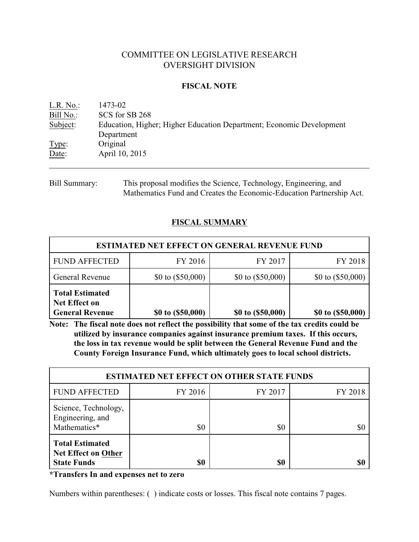# COMMITTEE ON LEGISLATIVE RESEARCH OVERSIGHT DIVISION

### **FISCAL NOTE**

| L.R. No.  | 1473-02                                                              |
|-----------|----------------------------------------------------------------------|
| Bill No.: | SCS for SB 268                                                       |
| Subject:  | Education, Higher; Higher Education Department; Economic Development |
|           | Department                                                           |
| Type:     | Original                                                             |
| Date:     | April 10, 2015                                                       |
|           |                                                                      |

Bill Summary: This proposal modifies the Science, Technology, Engineering, and Mathematics Fund and Creates the Economic-Education Partnership Act.

# **FISCAL SUMMARY**

| <b>ESTIMATED NET EFFECT ON GENERAL REVENUE FUND</b>                      |                     |                     |                     |  |  |
|--------------------------------------------------------------------------|---------------------|---------------------|---------------------|--|--|
| <b>FUND AFFECTED</b>                                                     | FY 2016             | FY 2017             | FY 2018             |  |  |
| General Revenue                                                          | \$0 to $(\$50,000)$ | \$0 to $(\$50,000)$ | \$0 to $(\$50,000)$ |  |  |
| <b>Total Estimated</b><br><b>Net Effect on</b><br><b>General Revenue</b> | \$0 to (\$50,000)   | \$0 to (\$50,000)   | \$0 to (\$50,000)   |  |  |

**Note: The fiscal note does not reflect the possibility that some of the tax credits could be utilized by insurance companies against insurance premium taxes. If this occurs, the loss in tax revenue would be split between the General Revenue Fund and the County Foreign Insurance Fund, which ultimately goes to local school districts.**

| <b>ESTIMATED NET EFFECT ON OTHER STATE FUNDS</b>                           |         |         |         |  |  |
|----------------------------------------------------------------------------|---------|---------|---------|--|--|
| <b>FUND AFFECTED</b>                                                       | FY 2016 | FY 2017 | FY 2018 |  |  |
| Science, Technology,<br>Engineering, and<br>Mathematics*                   | \$0     | \$0     | \$0     |  |  |
| <b>Total Estimated</b><br><b>Net Effect on Other</b><br><b>State Funds</b> | \$0     | \$0     | \$0     |  |  |

**\*Transfers In and expenses net to zero**

Numbers within parentheses: ( ) indicate costs or losses. This fiscal note contains 7 pages.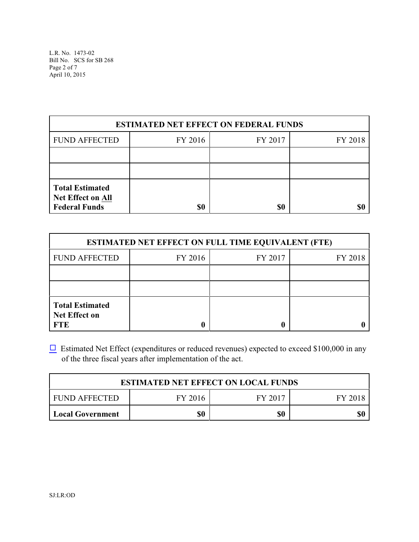L.R. No. 1473-02 Bill No. SCS for SB 268 Page 2 of 7 April 10, 2015

| <b>ESTIMATED NET EFFECT ON FEDERAL FUNDS</b>                               |         |         |         |  |  |
|----------------------------------------------------------------------------|---------|---------|---------|--|--|
| <b>FUND AFFECTED</b>                                                       | FY 2016 | FY 2017 | FY 2018 |  |  |
|                                                                            |         |         |         |  |  |
|                                                                            |         |         |         |  |  |
| <b>Total Estimated</b><br><b>Net Effect on All</b><br><b>Federal Funds</b> | \$0     | \$0     |         |  |  |

| <b>ESTIMATED NET EFFECT ON FULL TIME EQUIVALENT (FTE)</b>    |         |         |         |  |  |  |
|--------------------------------------------------------------|---------|---------|---------|--|--|--|
| <b>FUND AFFECTED</b>                                         | FY 2016 | FY 2017 | FY 2018 |  |  |  |
|                                                              |         |         |         |  |  |  |
|                                                              |         |         |         |  |  |  |
| <b>Total Estimated</b><br><b>Net Effect on</b><br><b>FTE</b> |         |         |         |  |  |  |

 $\Box$  Estimated Net Effect (expenditures or reduced revenues) expected to exceed \$100,000 in any of the three fiscal years after implementation of the act.

| <b>ESTIMATED NET EFFECT ON LOCAL FUNDS</b>       |  |  |  |  |  |
|--------------------------------------------------|--|--|--|--|--|
| FY 2017<br>I FUND AFFECTED<br>FY 2016<br>FY 2018 |  |  |  |  |  |
| \$0<br>\$0<br>Local Government                   |  |  |  |  |  |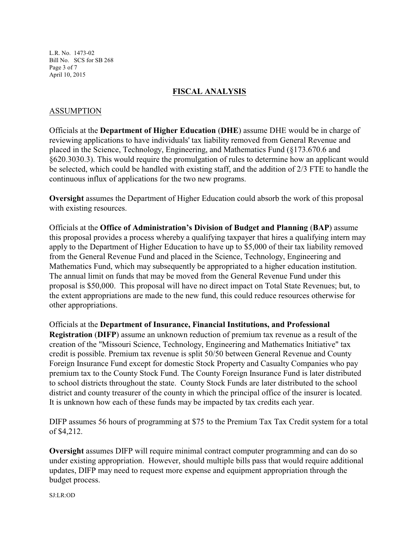L.R. No. 1473-02 Bill No. SCS for SB 268 Page 3 of 7 April 10, 2015

## **FISCAL ANALYSIS**

## ASSUMPTION

Officials at the **Department of Higher Education** (**DHE**) assume DHE would be in charge of reviewing applications to have individuals' tax liability removed from General Revenue and placed in the Science, Technology, Engineering, and Mathematics Fund (§173.670.6 and §620.3030.3). This would require the promulgation of rules to determine how an applicant would be selected, which could be handled with existing staff, and the addition of 2/3 FTE to handle the continuous influx of applications for the two new programs.

**Oversight** assumes the Department of Higher Education could absorb the work of this proposal with existing resources.

Officials at the **Office of Administration's Division of Budget and Planning** (**BAP**) assume this proposal provides a process whereby a qualifying taxpayer that hires a qualifying intern may apply to the Department of Higher Education to have up to \$5,000 of their tax liability removed from the General Revenue Fund and placed in the Science, Technology, Engineering and Mathematics Fund, which may subsequently be appropriated to a higher education institution. The annual limit on funds that may be moved from the General Revenue Fund under this proposal is \$50,000. This proposal will have no direct impact on Total State Revenues; but, to the extent appropriations are made to the new fund, this could reduce resources otherwise for other appropriations.

Officials at the **Department of Insurance, Financial Institutions, and Professional Registration** (**DIFP**) assume an unknown reduction of premium tax revenue as a result of the creation of the "Missouri Science, Technology, Engineering and Mathematics Initiative" tax credit is possible. Premium tax revenue is split 50/50 between General Revenue and County Foreign Insurance Fund except for domestic Stock Property and Casualty Companies who pay premium tax to the County Stock Fund. The County Foreign Insurance Fund is later distributed to school districts throughout the state. County Stock Funds are later distributed to the school district and county treasurer of the county in which the principal office of the insurer is located. It is unknown how each of these funds may be impacted by tax credits each year.

DIFP assumes 56 hours of programming at \$75 to the Premium Tax Tax Credit system for a total of \$4,212.

**Oversight** assumes DIFP will require minimal contract computer programming and can do so under existing appropriation. However, should multiple bills pass that would require additional updates, DIFP may need to request more expense and equipment appropriation through the budget process.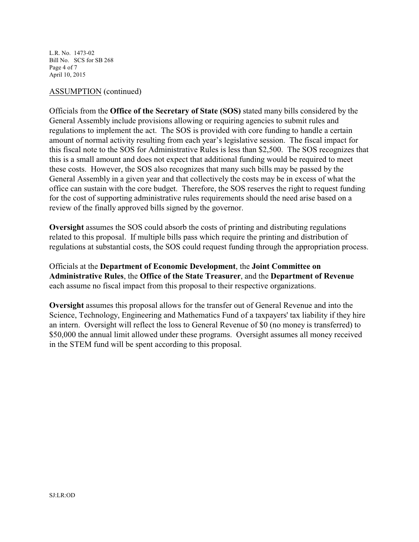L.R. No. 1473-02 Bill No. SCS for SB 268 Page 4 of 7 April 10, 2015

#### ASSUMPTION (continued)

Officials from the **Office of the Secretary of State (SOS)** stated many bills considered by the General Assembly include provisions allowing or requiring agencies to submit rules and regulations to implement the act. The SOS is provided with core funding to handle a certain amount of normal activity resulting from each year's legislative session. The fiscal impact for this fiscal note to the SOS for Administrative Rules is less than \$2,500. The SOS recognizes that this is a small amount and does not expect that additional funding would be required to meet these costs. However, the SOS also recognizes that many such bills may be passed by the General Assembly in a given year and that collectively the costs may be in excess of what the office can sustain with the core budget. Therefore, the SOS reserves the right to request funding for the cost of supporting administrative rules requirements should the need arise based on a review of the finally approved bills signed by the governor.

**Oversight** assumes the SOS could absorb the costs of printing and distributing regulations related to this proposal. If multiple bills pass which require the printing and distribution of regulations at substantial costs, the SOS could request funding through the appropriation process.

Officials at the **Department of Economic Development**, the **Joint Committee on Administrative Rules**, the **Office of the State Treasurer**, and the **Department of Revenue** each assume no fiscal impact from this proposal to their respective organizations.

**Oversight** assumes this proposal allows for the transfer out of General Revenue and into the Science, Technology, Engineering and Mathematics Fund of a taxpayers' tax liability if they hire an intern. Oversight will reflect the loss to General Revenue of \$0 (no money is transferred) to \$50,000 the annual limit allowed under these programs. Oversight assumes all money received in the STEM fund will be spent according to this proposal.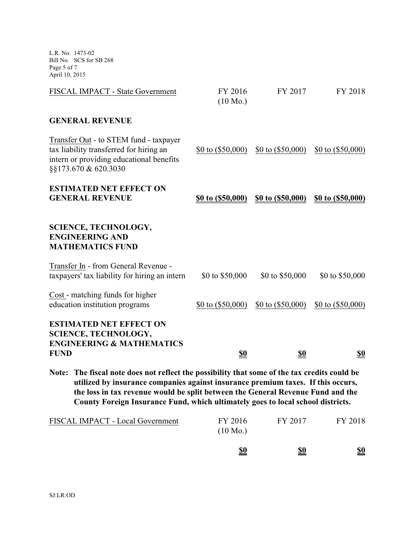L.R. No. 1473-02 Bill No. SCS for SB 268 Page 5 of 7 April 10, 2015

| <b>FUND</b> | <b>ESTIMATED NET EFFECT ON</b><br><b>SCIENCE, TECHNOLOGY,</b><br><b>ENGINEERING &amp; MATHEMATICS</b>                                                 | <u>\$0</u>                    | <u>\$0</u>          | <u>\$0</u>          |
|-------------|-------------------------------------------------------------------------------------------------------------------------------------------------------|-------------------------------|---------------------|---------------------|
|             |                                                                                                                                                       |                               |                     |                     |
|             |                                                                                                                                                       |                               |                     |                     |
|             | Cost - matching funds for higher<br>education institution programs                                                                                    | \$0 to $(\$50,000)$           | \$0 to $(\$50,000)$ | \$0 to $(\$50,000)$ |
|             | Transfer In - from General Revenue -<br>taxpayers' tax liability for hiring an intern                                                                 | \$0 to \$50,000               | \$0 to \$50,000     | \$0 to \$50,000     |
|             | <b>SCIENCE, TECHNOLOGY,</b><br><b>ENGINEERING AND</b><br><b>MATHEMATICS FUND</b>                                                                      |                               |                     |                     |
|             | <b>ESTIMATED NET EFFECT ON</b><br><b>GENERAL REVENUE</b>                                                                                              | \$0 to (\$50,000)             | \$0 to (\$50,000)   | \$0 to (\$50,000)   |
|             | Transfer Out - to STEM fund - taxpayer<br>tax liability transferred for hiring an<br>intern or providing educational benefits<br>§§173.670 & 620.3030 | \$0 to $(\$50,000)$           | \$0 to $(\$50,000)$ | \$0 to $(\$50,000)$ |
|             | <b>GENERAL REVENUE</b>                                                                                                                                |                               |                     |                     |
|             | FISCAL IMPACT - State Government                                                                                                                      | FY 2016<br>$(10 \text{ Mo.})$ | FY 2017             | FY 2018             |

**utilized by insurance companies against insurance premium taxes. If this occurs, the loss in tax revenue would be split between the General Revenue Fund and the County Foreign Insurance Fund, which ultimately goes to local school districts.**

|                                  | \$0                           | \$0     | <u>\$0</u> |
|----------------------------------|-------------------------------|---------|------------|
| FISCAL IMPACT - Local Government | FY 2016<br>$(10 \text{ Mo.})$ | FY 2017 | FY 2018    |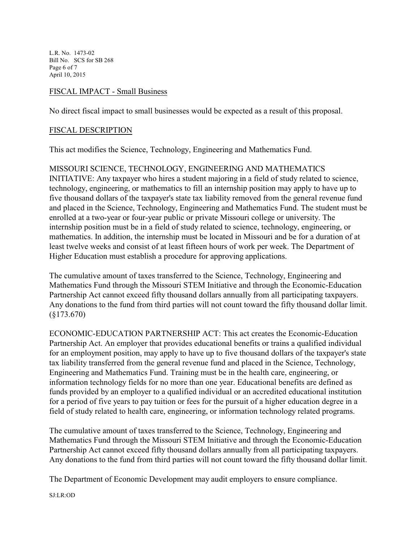L.R. No. 1473-02 Bill No. SCS for SB 268 Page 6 of 7 April 10, 2015

### FISCAL IMPACT - Small Business

No direct fiscal impact to small businesses would be expected as a result of this proposal.

### FISCAL DESCRIPTION

This act modifies the Science, Technology, Engineering and Mathematics Fund.

## MISSOURI SCIENCE, TECHNOLOGY, ENGINEERING AND MATHEMATICS

INITIATIVE: Any taxpayer who hires a student majoring in a field of study related to science, technology, engineering, or mathematics to fill an internship position may apply to have up to five thousand dollars of the taxpayer's state tax liability removed from the general revenue fund and placed in the Science, Technology, Engineering and Mathematics Fund. The student must be enrolled at a two-year or four-year public or private Missouri college or university. The internship position must be in a field of study related to science, technology, engineering, or mathematics. In addition, the internship must be located in Missouri and be for a duration of at least twelve weeks and consist of at least fifteen hours of work per week. The Department of Higher Education must establish a procedure for approving applications.

The cumulative amount of taxes transferred to the Science, Technology, Engineering and Mathematics Fund through the Missouri STEM Initiative and through the Economic-Education Partnership Act cannot exceed fifty thousand dollars annually from all participating taxpayers. Any donations to the fund from third parties will not count toward the fifty thousand dollar limit. (§173.670)

ECONOMIC-EDUCATION PARTNERSHIP ACT: This act creates the Economic-Education Partnership Act. An employer that provides educational benefits or trains a qualified individual for an employment position, may apply to have up to five thousand dollars of the taxpayer's state tax liability transferred from the general revenue fund and placed in the Science, Technology, Engineering and Mathematics Fund. Training must be in the health care, engineering, or information technology fields for no more than one year. Educational benefits are defined as funds provided by an employer to a qualified individual or an accredited educational institution for a period of five years to pay tuition or fees for the pursuit of a higher education degree in a field of study related to health care, engineering, or information technology related programs.

The cumulative amount of taxes transferred to the Science, Technology, Engineering and Mathematics Fund through the Missouri STEM Initiative and through the Economic-Education Partnership Act cannot exceed fifty thousand dollars annually from all participating taxpayers. Any donations to the fund from third parties will not count toward the fifty thousand dollar limit.

The Department of Economic Development may audit employers to ensure compliance.